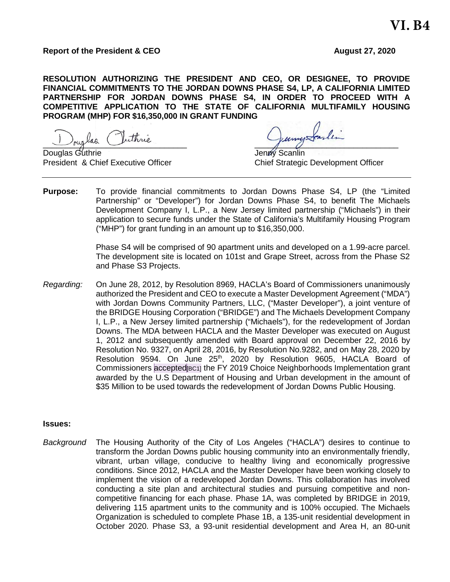#### **Report of the President & CEO August 27, 2020**

**RESOLUTION AUTHORIZING THE PRESIDENT AND CEO, OR DESIGNEE, TO PROVIDE FINANCIAL COMMITMENTS TO THE JORDAN DOWNS PHASE S4, LP, A CALIFORNIA LIMITED PARTNERSHIP FOR JORDAN DOWNS PHASE S4, IN ORDER TO PROCEED WITH A COMPETITIVE APPLICATION TO THE STATE OF CALIFORNIA MULTIFAMILY HOUSING PROGRAM (MHP) FOR \$16,350,000 IN GRANT FUNDING**

 $\int_{\mathcal{C}}$  and  $\int_{\mathcal{C}}$  and  $\int_{\mathcal{C}}$  and  $\int_{\mathcal{C}}$  and  $\int_{\mathcal{C}}$  and  $\int_{\mathcal{C}}$ Douglas Guthrie Communication of the United Scanling Jenny Scanling

President & Chief Executive Officer Chief Strategic Development Officer

**Purpose:** To provide financial commitments to Jordan Downs Phase S4, LP (the "Limited Partnership" or "Developer") for Jordan Downs Phase S4, to benefit The Michaels Development Company I, L.P., a New Jersey limited partnership ("Michaels") in their application to secure funds under the State of California's Multifamily Housing Program ("MHP") for grant funding in an amount up to \$16,350,000.

> Phase S4 will be comprised of 90 apartment units and developed on a 1.99-acre parcel. The development site is located on 101st and Grape Street, across from the Phase S2 and Phase S3 Projects.

*Regarding:* On June 28, 2012, by Resolution 8969, HACLA's Board of Commissioners unanimously authorized the President and CEO to execute a Master Development Agreement ("MDA") with Jordan Downs Community Partners, LLC, ("Master Developer"), a joint venture of the BRIDGE Housing Corporation ("BRIDGE") and The Michaels Development Company I, L.P., a New Jersey limited partnership ("Michaels"), for the redevelopment of Jordan Downs. The MDA between HACLA and the Master Developer was executed on August 1, 2012 and subsequently amended with Board approval on December 22, 2016 by Resolution No. 9327, on April 28, 2016, by Resolution No.9282, and on May 28, 2020 by Resolution 9594. On June 25<sup>th</sup>, 2020 by Resolution 9605, HACLA Board of Commissioners accepted[BC1] the FY 2019 Choice Neighborhoods Implementation grant awarded by the U.S Department of Housing and Urban development in the amount of \$35 Million to be used towards the redevelopment of Jordan Downs Public Housing.

#### **Issues:**

*Background* The Housing Authority of the City of Los Angeles ("HACLA") desires to continue to transform the Jordan Downs public housing community into an environmentally friendly, vibrant, urban village, conducive to healthy living and economically progressive conditions. Since 2012, HACLA and the Master Developer have been working closely to implement the vision of a redeveloped Jordan Downs. This collaboration has involved conducting a site plan and architectural studies and pursuing competitive and noncompetitive financing for each phase. Phase 1A, was completed by BRIDGE in 2019, delivering 115 apartment units to the community and is 100% occupied. The Michaels Organization is scheduled to complete Phase 1B, a 135-unit residential development in October 2020. Phase S3, a 93-unit residential development and Area H, an 80-unit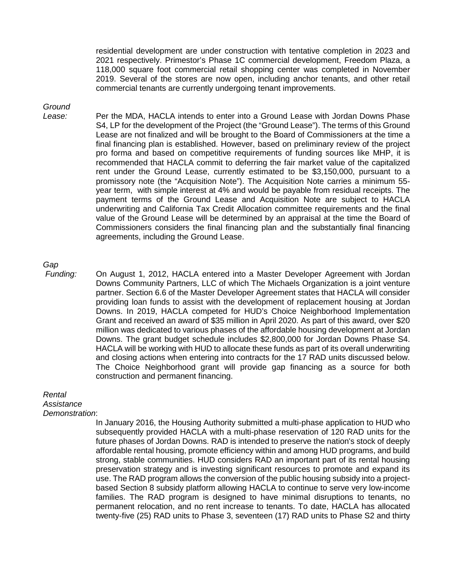residential development are under construction with tentative completion in 2023 and 2021 respectively. Primestor's Phase 1C commercial development, Freedom Plaza, a 118,000 square foot commercial retail shopping center was completed in November 2019. Several of the stores are now open, including anchor tenants, and other retail commercial tenants are currently undergoing tenant improvements.

# *Ground*

*Lease:* Per the MDA, HACLA intends to enter into a Ground Lease with Jordan Downs Phase S4, LP for the development of the Project (the "Ground Lease"). The terms of this Ground Lease are not finalized and will be brought to the Board of Commissioners at the time a final financing plan is established. However, based on preliminary review of the project pro forma and based on competitive requirements of funding sources like MHP, it is recommended that HACLA commit to deferring the fair market value of the capitalized rent under the Ground Lease, currently estimated to be \$3,150,000, pursuant to a promissory note (the "Acquisition Note"). The Acquisition Note carries a minimum 55 year term, with simple interest at 4% and would be payable from residual receipts. The payment terms of the Ground Lease and Acquisition Note are subject to HACLA underwriting and California Tax Credit Allocation committee requirements and the final value of the Ground Lease will be determined by an appraisal at the time the Board of Commissioners considers the final financing plan and the substantially final financing agreements, including the Ground Lease.

# *Gap*

*Funding:* On August 1, 2012, HACLA entered into a Master Developer Agreement with Jordan Downs Community Partners, LLC of which The Michaels Organization is a joint venture partner. Section 6.6 of the Master Developer Agreement states that HACLA will consider providing loan funds to assist with the development of replacement housing at Jordan Downs. In 2019, HACLA competed for HUD's Choice Neighborhood Implementation Grant and received an award of \$35 million in April 2020. As part of this award, over \$20 million was dedicated to various phases of the affordable housing development at Jordan Downs. The grant budget schedule includes \$2,800,000 for Jordan Downs Phase S4. HACLA will be working with HUD to allocate these funds as part of its overall underwriting and closing actions when entering into contracts for the 17 RAD units discussed below. The Choice Neighborhood grant will provide gap financing as a source for both construction and permanent financing.

#### *Rental*

*Assistance* 

#### *Demonstration*:

In January 2016, the Housing Authority submitted a multi-phase application to HUD who subsequently provided HACLA with a multi-phase reservation of 120 RAD units for the future phases of Jordan Downs. RAD is intended to preserve the nation's stock of deeply affordable rental housing, promote efficiency within and among HUD programs, and build strong, stable communities. HUD considers RAD an important part of its rental housing preservation strategy and is investing significant resources to promote and expand its use. The RAD program allows the conversion of the public housing subsidy into a projectbased Section 8 subsidy platform allowing HACLA to continue to serve very low-income families. The RAD program is designed to have minimal disruptions to tenants, no permanent relocation, and no rent increase to tenants. To date, HACLA has allocated twenty-five (25) RAD units to Phase 3, seventeen (17) RAD units to Phase S2 and thirty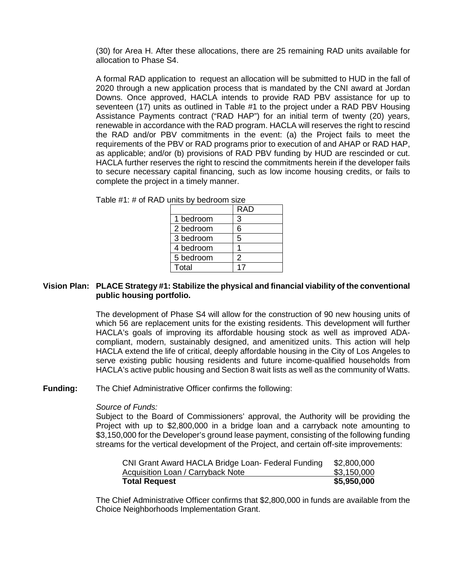(30) for Area H. After these allocations, there are 25 remaining RAD units available for allocation to Phase S4.

A formal RAD application to request an allocation will be submitted to HUD in the fall of 2020 through a new application process that is mandated by the CNI award at Jordan Downs. Once approved, HACLA intends to provide RAD PBV assistance for up to seventeen (17) units as outlined in Table #1 to the project under a RAD PBV Housing Assistance Payments contract ("RAD HAP") for an initial term of twenty (20) years, renewable in accordance with the RAD program. HACLA will reserves the right to rescind the RAD and/or PBV commitments in the event: (a) the Project fails to meet the requirements of the PBV or RAD programs prior to execution of and AHAP or RAD HAP, as applicable; and/or (b) provisions of RAD PBV funding by HUD are rescinded or cut. HACLA further reserves the right to rescind the commitments herein if the developer fails to secure necessary capital financing, such as low income housing credits, or fails to complete the project in a timely manner.

|           | <b>RAD</b> |
|-----------|------------|
| 1 bedroom | 3          |
| 2 bedroom | 6          |
| 3 bedroom | 5          |
| 4 bedroom |            |
| 5 bedroom | 2          |
| Total     |            |

Table  $#1: #$  of RAD units by bedroom size

## **Vision Plan: PLACE Strategy #1: Stabilize the physical and financial viability of the conventional public housing portfolio.**

The development of Phase S4 will allow for the construction of 90 new housing units of which 56 are replacement units for the existing residents. This development will further HACLA's goals of improving its affordable housing stock as well as improved ADAcompliant, modern, sustainably designed, and amenitized units. This action will help HACLA extend the life of critical, deeply affordable housing in the City of Los Angeles to serve existing public housing residents and future income-qualified households from HACLA's active public housing and Section 8 wait lists as well as the community of Watts.

**Funding:** The Chief Administrative Officer confirms the following:

#### *Source of Funds:*

Subject to the Board of Commissioners' approval, the Authority will be providing the Project with up to \$2,800,000 in a bridge loan and a carryback note amounting to \$3,150,000 for the Developer's ground lease payment, consisting of the following funding streams for the vertical development of the Project, and certain off-site improvements:

| CNI Grant Award HACLA Bridge Loan- Federal Funding | \$2,800,000 |
|----------------------------------------------------|-------------|
| Acquisition Loan / Carryback Note                  | \$3,150,000 |
| <b>Total Request</b>                               | \$5,950,000 |

The Chief Administrative Officer confirms that \$2,800,000 in funds are available from the Choice Neighborhoods Implementation Grant.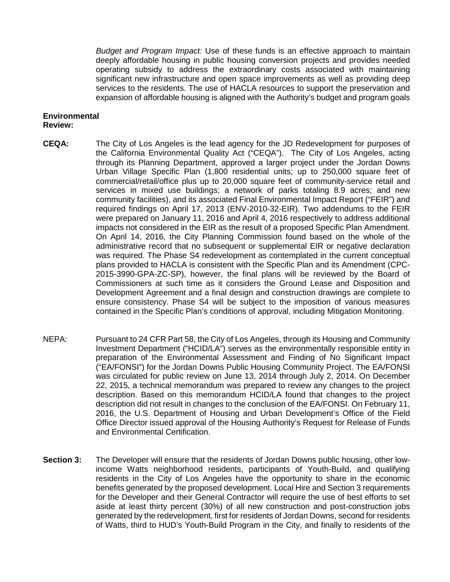*Budget and Program Impact:* Use of these funds is an effective approach to maintain deeply affordable housing in public housing conversion projects and provides needed operating subsidy to address the extraordinary costs associated with maintaining significant new infrastructure and open space improvements as well as providing deep services to the residents. The use of HACLA resources to support the preservation and expansion of affordable housing is aligned with the Authority's budget and program goals

#### **Environmental Review:**

- **CEQA:** The City of Los Angeles is the lead agency for the JD Redevelopment for purposes of the California Environmental Quality Act ("CEQA"). The City of Los Angeles, acting through its Planning Department, approved a larger project under the Jordan Downs Urban Village Specific Plan (1,800 residential units; up to 250,000 square feet of commercial/retail/office plus up to 20,000 square feet of community-service retail and services in mixed use buildings; a network of parks totaling 8.9 acres; and new community facilities), and its associated Final Environmental Impact Report ("FEIR") and required findings on April 17, 2013 (ENV-2010-32-EIR). Two addendums to the FEIR were prepared on January 11, 2016 and April 4, 2016 respectively to address additional impacts not considered in the EIR as the result of a proposed Specific Plan Amendment. On April 14, 2016, the City Planning Commission found based on the whole of the administrative record that no subsequent or supplemental EIR or negative declaration was required. The Phase S4 redevelopment as contemplated in the current conceptual plans provided to HACLA is consistent with the Specific Plan and its Amendment (CPC-2015-3990-GPA-ZC-SP), however, the final plans will be reviewed by the Board of Commissioners at such time as it considers the Ground Lease and Disposition and Development Agreement and a final design and construction drawings are complete to ensure consistency. Phase S4 will be subject to the imposition of various measures contained in the Specific Plan's conditions of approval, including Mitigation Monitoring.
- NEPA: Pursuant to 24 CFR Part 58, the City of Los Angeles, through its Housing and Community Investment Department ("HCID/LA") serves as the environmentally responsible entity in preparation of the Environmental Assessment and Finding of No Significant Impact ("EA/FONSI") for the Jordan Downs Public Housing Community Project. The EA/FONSI was circulated for public review on June 13, 2014 through July 2, 2014. On December 22, 2015, a technical memorandum was prepared to review any changes to the project description. Based on this memorandum HCID/LA found that changes to the project description did not result in changes to the conclusion of the EA/FONSI. On February 11, 2016, the U.S. Department of Housing and Urban Development's Office of the Field Office Director issued approval of the Housing Authority's Request for Release of Funds and Environmental Certification.
- **Section 3:** The Developer will ensure that the residents of Jordan Downs public housing, other lowincome Watts neighborhood residents, participants of Youth-Build, and qualifying residents in the City of Los Angeles have the opportunity to share in the economic benefits generated by the proposed development. Local Hire and Section 3 requirements for the Developer and their General Contractor will require the use of best efforts to set aside at least thirty percent (30%) of all new construction and post-construction jobs generated by the redevelopment, first for residents of Jordan Downs, second for residents of Watts, third to HUD's Youth-Build Program in the City, and finally to residents of the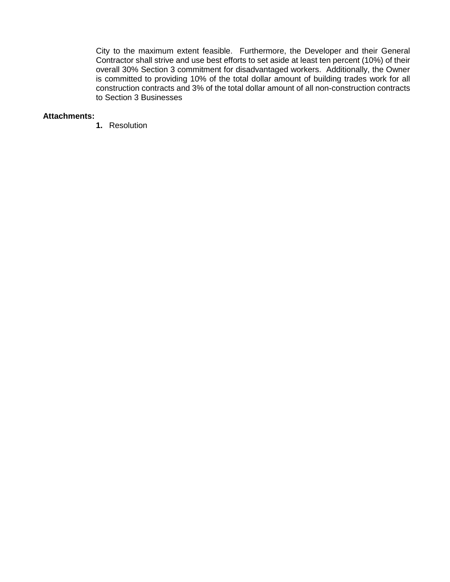City to the maximum extent feasible. Furthermore, the Developer and their General Contractor shall strive and use best efforts to set aside at least ten percent (10%) of their overall 30% Section 3 commitment for disadvantaged workers. Additionally, the Owner is committed to providing 10% of the total dollar amount of building trades work for all construction contracts and 3% of the total dollar amount of all non-construction contracts to Section 3 Businesses

#### **Attachments:**

**1.** Resolution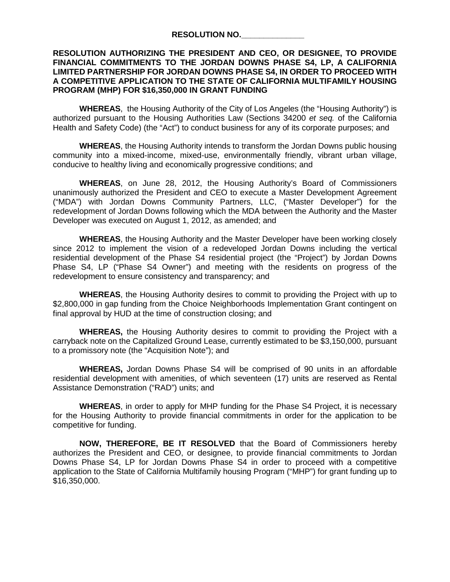#### **RESOLUTION NO.\_\_\_\_\_\_\_\_\_\_\_\_\_\_**

## **RESOLUTION AUTHORIZING THE PRESIDENT AND CEO, OR DESIGNEE, TO PROVIDE FINANCIAL COMMITMENTS TO THE JORDAN DOWNS PHASE S4, LP, A CALIFORNIA LIMITED PARTNERSHIP FOR JORDAN DOWNS PHASE S4, IN ORDER TO PROCEED WITH A COMPETITIVE APPLICATION TO THE STATE OF CALIFORNIA MULTIFAMILY HOUSING PROGRAM (MHP) FOR \$16,350,000 IN GRANT FUNDING**

**WHEREAS**, the Housing Authority of the City of Los Angeles (the "Housing Authority") is authorized pursuant to the Housing Authorities Law (Sections 34200 *et seq.* of the California Health and Safety Code) (the "Act") to conduct business for any of its corporate purposes; and

**WHEREAS**, the Housing Authority intends to transform the Jordan Downs public housing community into a mixed-income, mixed-use, environmentally friendly, vibrant urban village, conducive to healthy living and economically progressive conditions; and

**WHEREAS**, on June 28, 2012, the Housing Authority's Board of Commissioners unanimously authorized the President and CEO to execute a Master Development Agreement ("MDA") with Jordan Downs Community Partners, LLC, ("Master Developer") for the redevelopment of Jordan Downs following which the MDA between the Authority and the Master Developer was executed on August 1, 2012, as amended; and

**WHEREAS**, the Housing Authority and the Master Developer have been working closely since 2012 to implement the vision of a redeveloped Jordan Downs including the vertical residential development of the Phase S4 residential project (the "Project") by Jordan Downs Phase S4, LP ("Phase S4 Owner") and meeting with the residents on progress of the redevelopment to ensure consistency and transparency; and

**WHEREAS**, the Housing Authority desires to commit to providing the Project with up to \$2,800,000 in gap funding from the Choice Neighborhoods Implementation Grant contingent on final approval by HUD at the time of construction closing; and

**WHEREAS,** the Housing Authority desires to commit to providing the Project with a carryback note on the Capitalized Ground Lease, currently estimated to be \$3,150,000, pursuant to a promissory note (the "Acquisition Note"); and

**WHEREAS,** Jordan Downs Phase S4 will be comprised of 90 units in an affordable residential development with amenities, of which seventeen (17) units are reserved as Rental Assistance Demonstration ("RAD") units; and

**WHEREAS**, in order to apply for MHP funding for the Phase S4 Project, it is necessary for the Housing Authority to provide financial commitments in order for the application to be competitive for funding.

**NOW, THEREFORE, BE IT RESOLVED** that the Board of Commissioners hereby authorizes the President and CEO, or designee, to provide financial commitments to Jordan Downs Phase S4, LP for Jordan Downs Phase S4 in order to proceed with a competitive application to the State of California Multifamily housing Program ("MHP") for grant funding up to \$16,350,000.